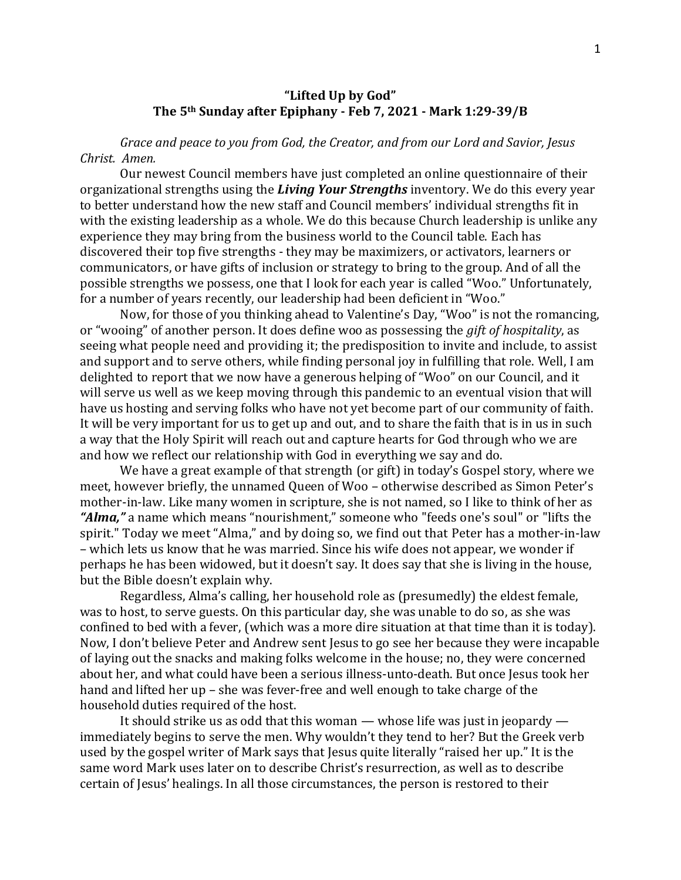## **"Lifted Up by God" The 5th Sunday after Epiphany - Feb 7, 2021 - Mark 1:29-39/B**

*Grace and peace to you from God, the Creator, and from our Lord and Savior, Jesus Christ. Amen.*

Our newest Council members have just completed an online questionnaire of their organizational strengths using the *Living Your Strengths* inventory. We do this every year to better understand how the new staff and Council members' individual strengths fit in with the existing leadership as a whole. We do this because Church leadership is unlike any experience they may bring from the business world to the Council table. Each has discovered their top five strengths - they may be maximizers, or activators, learners or communicators, or have gifts of inclusion or strategy to bring to the group. And of all the possible strengths we possess, one that I look for each year is called "Woo." Unfortunately, for a number of years recently, our leadership had been deficient in "Woo."

Now, for those of you thinking ahead to Valentine's Day, "Woo" is not the romancing, or "wooing" of another person. It does define woo as possessing the *gift of hospitality*, as seeing what people need and providing it; the predisposition to invite and include, to assist and support and to serve others, while finding personal joy in fulfilling that role. Well, I am delighted to report that we now have a generous helping of "Woo" on our Council, and it will serve us well as we keep moving through this pandemic to an eventual vision that will have us hosting and serving folks who have not yet become part of our community of faith. It will be very important for us to get up and out, and to share the faith that is in us in such a way that the Holy Spirit will reach out and capture hearts for God through who we are and how we reflect our relationship with God in everything we say and do.

We have a great example of that strength (or gift) in today's Gospel story, where we meet, however briefly, the unnamed Queen of Woo – otherwise described as Simon Peter's mother-in-law. Like many women in scripture, she is not named, so I like to think of her as *"Alma,"* a name which means "nourishment," someone who "feeds one's soul" or "lifts the spirit." Today we meet "Alma," and by doing so, we find out that Peter has a mother-in-law – which lets us know that he was married. Since his wife does not appear, we wonder if perhaps he has been widowed, but it doesn't say. It does say that she is living in the house, but the Bible doesn't explain why.

Regardless, Alma's calling, her household role as (presumedly) the eldest female, was to host, to serve guests. On this particular day, she was unable to do so, as she was confined to bed with a fever, (which was a more dire situation at that time than it is today). Now, I don't believe Peter and Andrew sent Jesus to go see her because they were incapable of laying out the snacks and making folks welcome in the house; no, they were concerned about her, and what could have been a serious illness-unto-death. But once Jesus took her hand and lifted her up – she was fever-free and well enough to take charge of the household duties required of the host.

It should strike us as odd that this woman — whose life was just in jeopardy immediately begins to serve the men. Why wouldn't they tend to her? But the Greek verb used by the gospel writer of Mark says that Jesus quite literally "raised her up." It is the same word Mark uses later on to describe Christ's resurrection, as well as to describe certain of Jesus' healings. In all those circumstances, the person is restored to their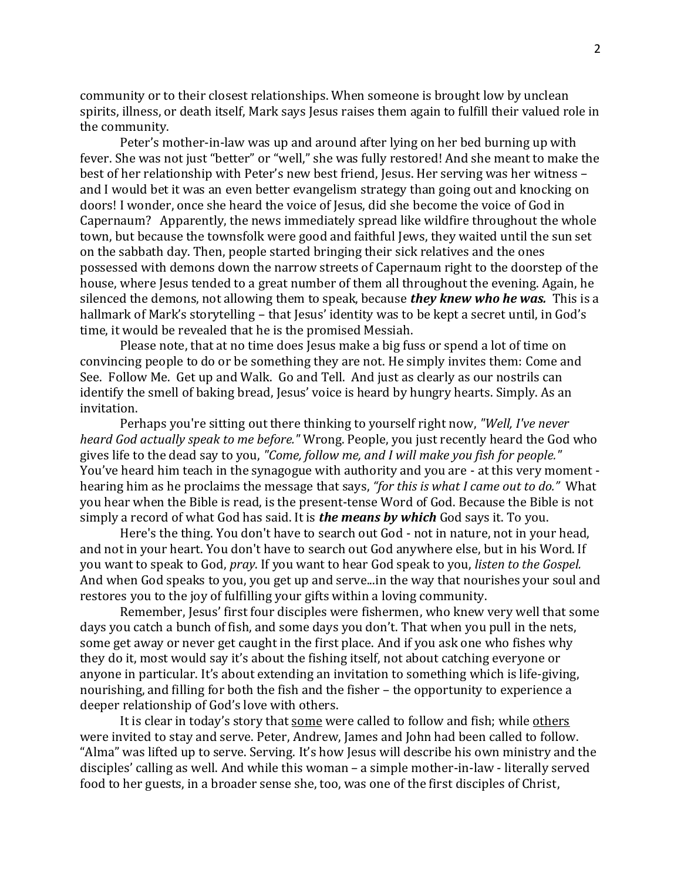community or to their closest relationships. When someone is brought low by unclean spirits, illness, or death itself, Mark says Jesus raises them again to fulfill their valued role in the community.

Peter's mother-in-law was up and around after lying on her bed burning up with fever. She was not just "better" or "well," she was fully restored! And she meant to make the best of her relationship with Peter's new best friend, Jesus. Her serving was her witness – and I would bet it was an even better evangelism strategy than going out and knocking on doors! I wonder, once she heard the voice of Jesus, did she become the voice of God in Capernaum? Apparently, the news immediately spread like wildfire throughout the whole town, but because the townsfolk were good and faithful Jews, they waited until the sun set on the sabbath day. Then, people started bringing their sick relatives and the ones possessed with demons down the narrow streets of Capernaum right to the doorstep of the house, where Jesus tended to a great number of them all throughout the evening. Again, he silenced the demons, not allowing them to speak, because *they knew who he was.* This is a hallmark of Mark's storytelling – that Jesus' identity was to be kept a secret until, in God's time, it would be revealed that he is the promised Messiah.

Please note, that at no time does Jesus make a big fuss or spend a lot of time on convincing people to do or be something they are not. He simply invites them: Come and See. Follow Me. Get up and Walk. Go and Tell. And just as clearly as our nostrils can identify the smell of baking bread, Jesus' voice is heard by hungry hearts. Simply. As an invitation.

Perhaps you're sitting out there thinking to yourself right now, *"Well, I've never heard God actually speak to me before."* Wrong. People, you just recently heard the God who gives life to the dead say to you, *"Come, follow me, and I will make you fish for people."* You've heard him teach in the synagogue with authority and you are - at this very moment hearing him as he proclaims the message that says, *"for this is what I came out to do."* What you hear when the Bible is read, is the present-tense Word of God. Because the Bible is not simply a record of what God has said. It is *the means by which* God says it. To you.

Here's the thing. You don't have to search out God - not in nature, not in your head, and not in your heart. You don't have to search out God anywhere else, but in his Word. If you want to speak to God, *pray*. If you want to hear God speak to you, *listen to the Gospel.* And when God speaks to you, you get up and serve...in the way that nourishes your soul and restores you to the joy of fulfilling your gifts within a loving community.

Remember, Jesus' first four disciples were fishermen, who knew very well that some days you catch a bunch of fish, and some days you don't. That when you pull in the nets, some get away or never get caught in the first place. And if you ask one who fishes why they do it, most would say it's about the fishing itself, not about catching everyone or anyone in particular. It's about extending an invitation to something which is life-giving, nourishing, and filling for both the fish and the fisher – the opportunity to experience a deeper relationship of God's love with others.

It is clear in today's story that some were called to follow and fish; while others were invited to stay and serve. Peter, Andrew, James and John had been called to follow. "Alma" was lifted up to serve. Serving. It's how Jesus will describe his own ministry and the disciples' calling as well. And while this woman – a simple mother-in-law - literally served food to her guests, in a broader sense she, too, was one of the first disciples of Christ,